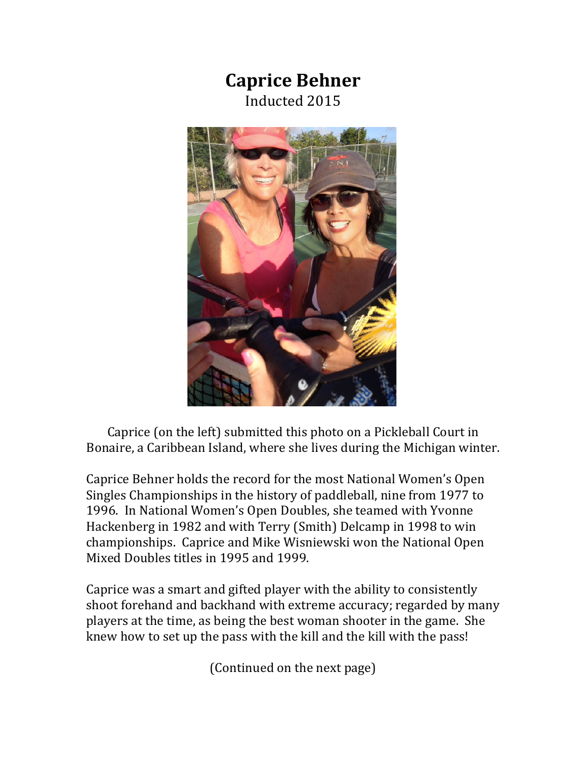## **Caprice Behner** Inducted 2015



Caprice (on the left) submitted this photo on a Pickleball Court in Bonaire, a Caribbean Island, where she lives during the Michigan winter.

Caprice Behner holds the record for the most National Women's Open Singles Championships in the history of paddleball, nine from 1977 to 1996. In National Women's Open Doubles, she teamed with Yvonne Hackenberg in 1982 and with Terry (Smith) Delcamp in 1998 to win championships. Caprice and Mike Wisniewski won the National Open Mixed Doubles titles in 1995 and 1999.

Caprice was a smart and gifted player with the ability to consistently shoot forehand and backhand with extreme accuracy; regarded by many players at the time, as being the best woman shooter in the game. She knew how to set up the pass with the kill and the kill with the pass!

(Continued on the next page)